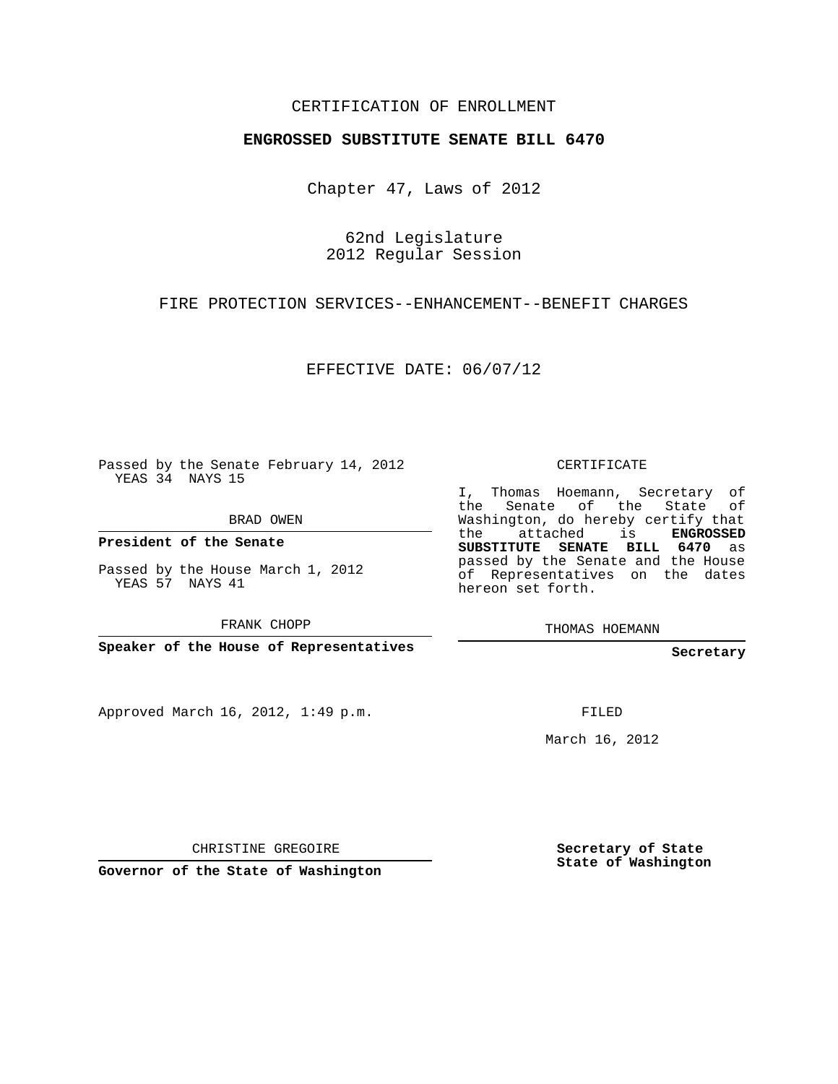### CERTIFICATION OF ENROLLMENT

#### **ENGROSSED SUBSTITUTE SENATE BILL 6470**

Chapter 47, Laws of 2012

62nd Legislature 2012 Regular Session

FIRE PROTECTION SERVICES--ENHANCEMENT--BENEFIT CHARGES

EFFECTIVE DATE: 06/07/12

Passed by the Senate February 14, 2012 YEAS 34 NAYS 15

BRAD OWEN

**President of the Senate**

Passed by the House March 1, 2012 YEAS 57 NAYS 41

FRANK CHOPP

**Speaker of the House of Representatives**

Approved March 16, 2012, 1:49 p.m.

CERTIFICATE

I, Thomas Hoemann, Secretary of the Senate of the State of Washington, do hereby certify that the attached is **ENGROSSED SUBSTITUTE SENATE BILL 6470** as passed by the Senate and the House of Representatives on the dates hereon set forth.

THOMAS HOEMANN

**Secretary**

FILED

March 16, 2012

CHRISTINE GREGOIRE

**Governor of the State of Washington**

**Secretary of State State of Washington**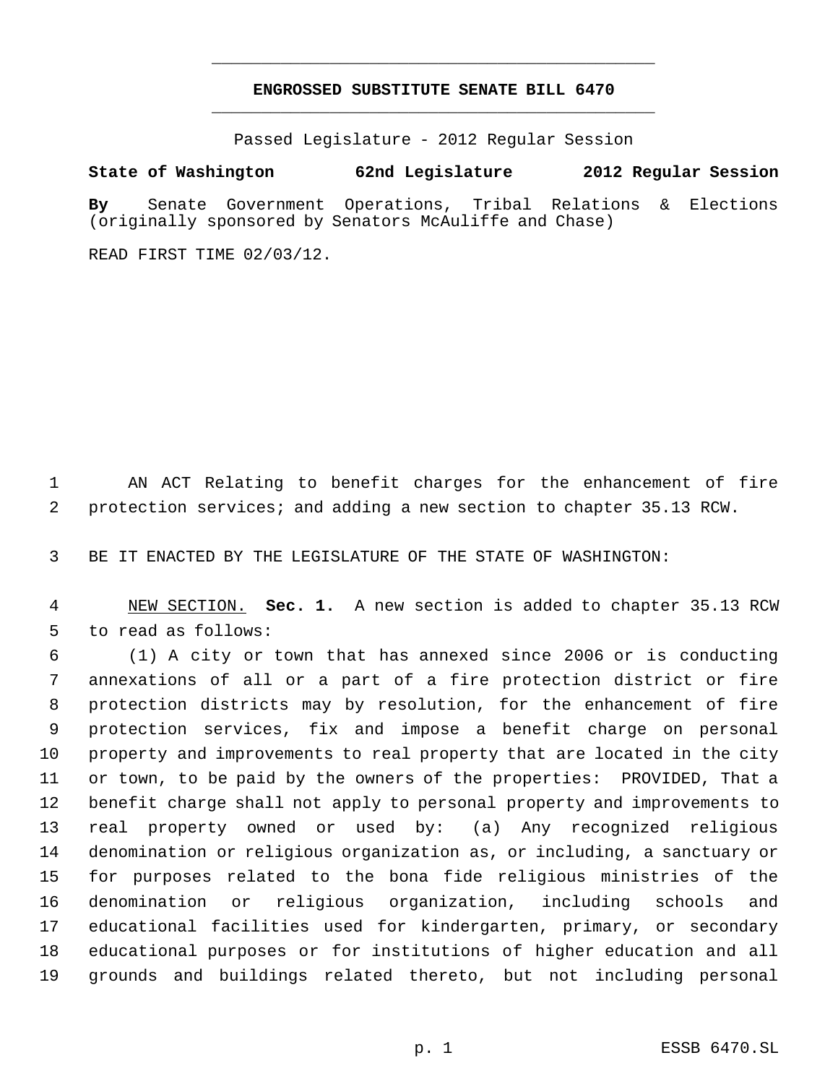## **ENGROSSED SUBSTITUTE SENATE BILL 6470** \_\_\_\_\_\_\_\_\_\_\_\_\_\_\_\_\_\_\_\_\_\_\_\_\_\_\_\_\_\_\_\_\_\_\_\_\_\_\_\_\_\_\_\_\_

\_\_\_\_\_\_\_\_\_\_\_\_\_\_\_\_\_\_\_\_\_\_\_\_\_\_\_\_\_\_\_\_\_\_\_\_\_\_\_\_\_\_\_\_\_

Passed Legislature - 2012 Regular Session

### **State of Washington 62nd Legislature 2012 Regular Session**

**By** Senate Government Operations, Tribal Relations & Elections (originally sponsored by Senators McAuliffe and Chase)

READ FIRST TIME 02/03/12.

 AN ACT Relating to benefit charges for the enhancement of fire protection services; and adding a new section to chapter 35.13 RCW.

BE IT ENACTED BY THE LEGISLATURE OF THE STATE OF WASHINGTON:

 NEW SECTION. **Sec. 1.** A new section is added to chapter 35.13 RCW to read as follows:

 (1) A city or town that has annexed since 2006 or is conducting annexations of all or a part of a fire protection district or fire protection districts may by resolution, for the enhancement of fire protection services, fix and impose a benefit charge on personal property and improvements to real property that are located in the city or town, to be paid by the owners of the properties: PROVIDED, That a benefit charge shall not apply to personal property and improvements to real property owned or used by: (a) Any recognized religious denomination or religious organization as, or including, a sanctuary or for purposes related to the bona fide religious ministries of the denomination or religious organization, including schools and educational facilities used for kindergarten, primary, or secondary educational purposes or for institutions of higher education and all grounds and buildings related thereto, but not including personal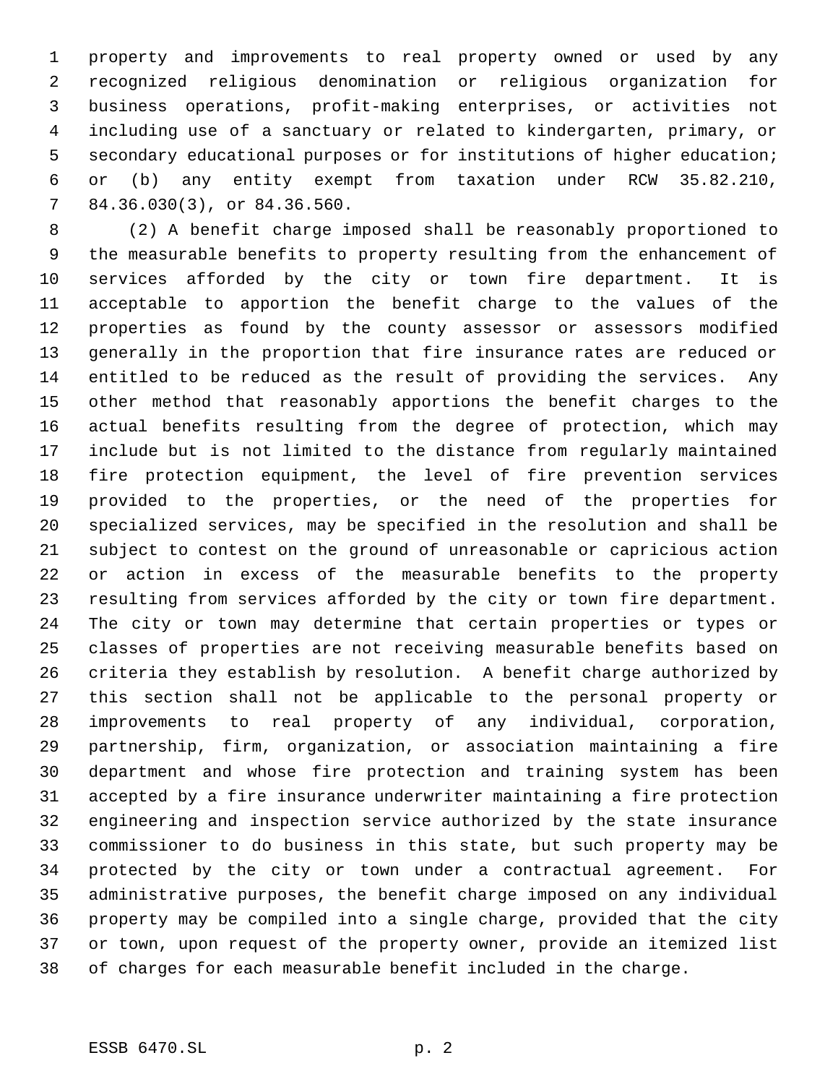property and improvements to real property owned or used by any recognized religious denomination or religious organization for business operations, profit-making enterprises, or activities not including use of a sanctuary or related to kindergarten, primary, or secondary educational purposes or for institutions of higher education; or (b) any entity exempt from taxation under RCW 35.82.210, 84.36.030(3), or 84.36.560.

 (2) A benefit charge imposed shall be reasonably proportioned to the measurable benefits to property resulting from the enhancement of services afforded by the city or town fire department. It is acceptable to apportion the benefit charge to the values of the properties as found by the county assessor or assessors modified generally in the proportion that fire insurance rates are reduced or entitled to be reduced as the result of providing the services. Any other method that reasonably apportions the benefit charges to the actual benefits resulting from the degree of protection, which may include but is not limited to the distance from regularly maintained fire protection equipment, the level of fire prevention services provided to the properties, or the need of the properties for specialized services, may be specified in the resolution and shall be subject to contest on the ground of unreasonable or capricious action or action in excess of the measurable benefits to the property resulting from services afforded by the city or town fire department. The city or town may determine that certain properties or types or classes of properties are not receiving measurable benefits based on criteria they establish by resolution. A benefit charge authorized by this section shall not be applicable to the personal property or improvements to real property of any individual, corporation, partnership, firm, organization, or association maintaining a fire department and whose fire protection and training system has been accepted by a fire insurance underwriter maintaining a fire protection engineering and inspection service authorized by the state insurance commissioner to do business in this state, but such property may be protected by the city or town under a contractual agreement. For administrative purposes, the benefit charge imposed on any individual property may be compiled into a single charge, provided that the city or town, upon request of the property owner, provide an itemized list of charges for each measurable benefit included in the charge.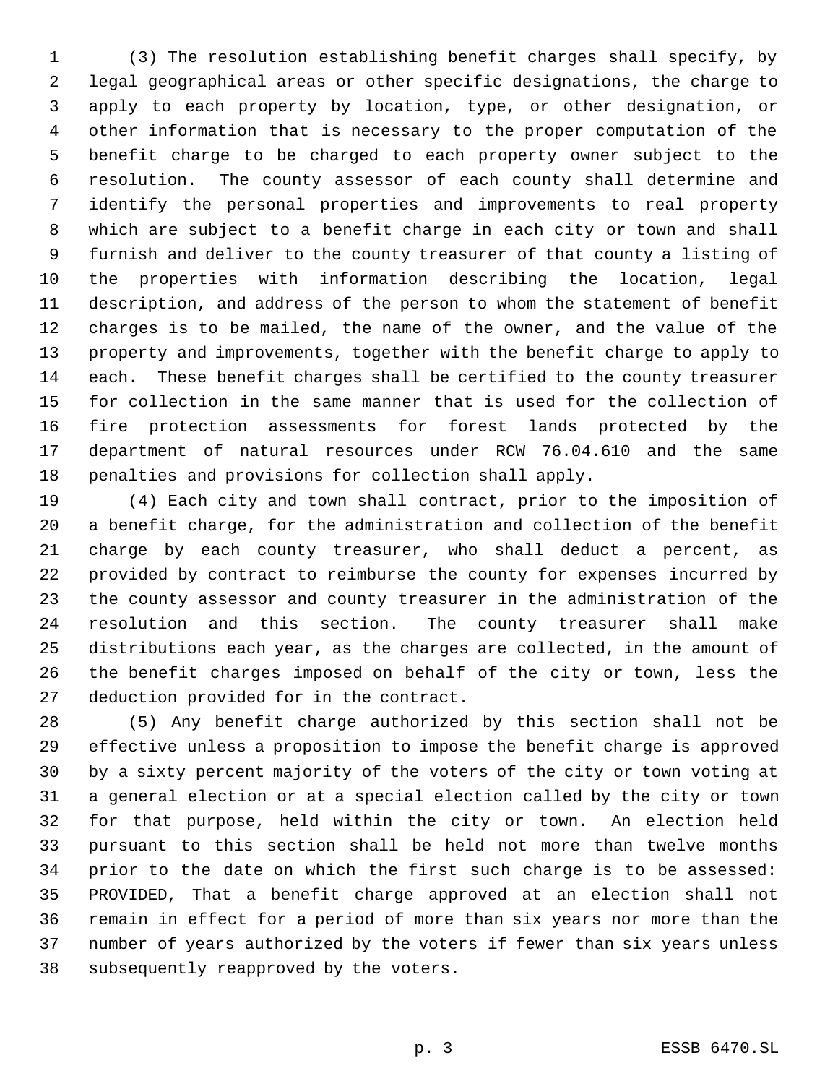(3) The resolution establishing benefit charges shall specify, by legal geographical areas or other specific designations, the charge to apply to each property by location, type, or other designation, or other information that is necessary to the proper computation of the benefit charge to be charged to each property owner subject to the resolution. The county assessor of each county shall determine and identify the personal properties and improvements to real property which are subject to a benefit charge in each city or town and shall furnish and deliver to the county treasurer of that county a listing of the properties with information describing the location, legal description, and address of the person to whom the statement of benefit charges is to be mailed, the name of the owner, and the value of the property and improvements, together with the benefit charge to apply to each. These benefit charges shall be certified to the county treasurer for collection in the same manner that is used for the collection of fire protection assessments for forest lands protected by the department of natural resources under RCW 76.04.610 and the same penalties and provisions for collection shall apply.

 (4) Each city and town shall contract, prior to the imposition of a benefit charge, for the administration and collection of the benefit charge by each county treasurer, who shall deduct a percent, as provided by contract to reimburse the county for expenses incurred by the county assessor and county treasurer in the administration of the resolution and this section. The county treasurer shall make distributions each year, as the charges are collected, in the amount of the benefit charges imposed on behalf of the city or town, less the deduction provided for in the contract.

 (5) Any benefit charge authorized by this section shall not be effective unless a proposition to impose the benefit charge is approved by a sixty percent majority of the voters of the city or town voting at a general election or at a special election called by the city or town for that purpose, held within the city or town. An election held pursuant to this section shall be held not more than twelve months prior to the date on which the first such charge is to be assessed: PROVIDED, That a benefit charge approved at an election shall not remain in effect for a period of more than six years nor more than the number of years authorized by the voters if fewer than six years unless subsequently reapproved by the voters.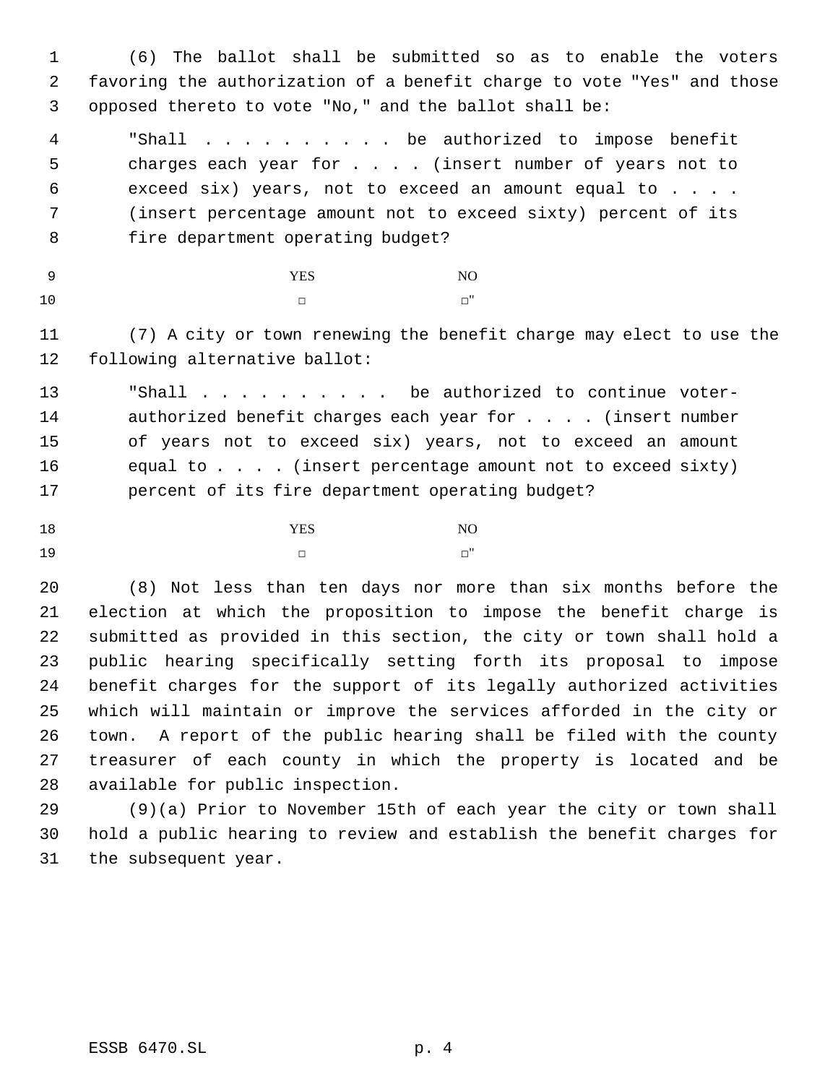(6) The ballot shall be submitted so as to enable the voters favoring the authorization of a benefit charge to vote "Yes" and those opposed thereto to vote "No," and the ballot shall be:

 "Shall . . . . . . . . . . be authorized to impose benefit 5 charges each year for . . . (insert number of years not to exceed six) years, not to exceed an amount equal to . . . . (insert percentage amount not to exceed sixty) percent of its fire department operating budget?

# YES NO □ □

 (7) A city or town renewing the benefit charge may elect to use the following alternative ballot:

 "Shall . . . . . . . . . . be authorized to continue voter-14 authorized benefit charges each year for . . . . (insert number of years not to exceed six) years, not to exceed an amount equal to . . . . (insert percentage amount not to exceed sixty) percent of its fire department operating budget?

18 NO □ □

 (8) Not less than ten days nor more than six months before the election at which the proposition to impose the benefit charge is submitted as provided in this section, the city or town shall hold a public hearing specifically setting forth its proposal to impose benefit charges for the support of its legally authorized activities which will maintain or improve the services afforded in the city or town. A report of the public hearing shall be filed with the county treasurer of each county in which the property is located and be available for public inspection.

 (9)(a) Prior to November 15th of each year the city or town shall hold a public hearing to review and establish the benefit charges for the subsequent year.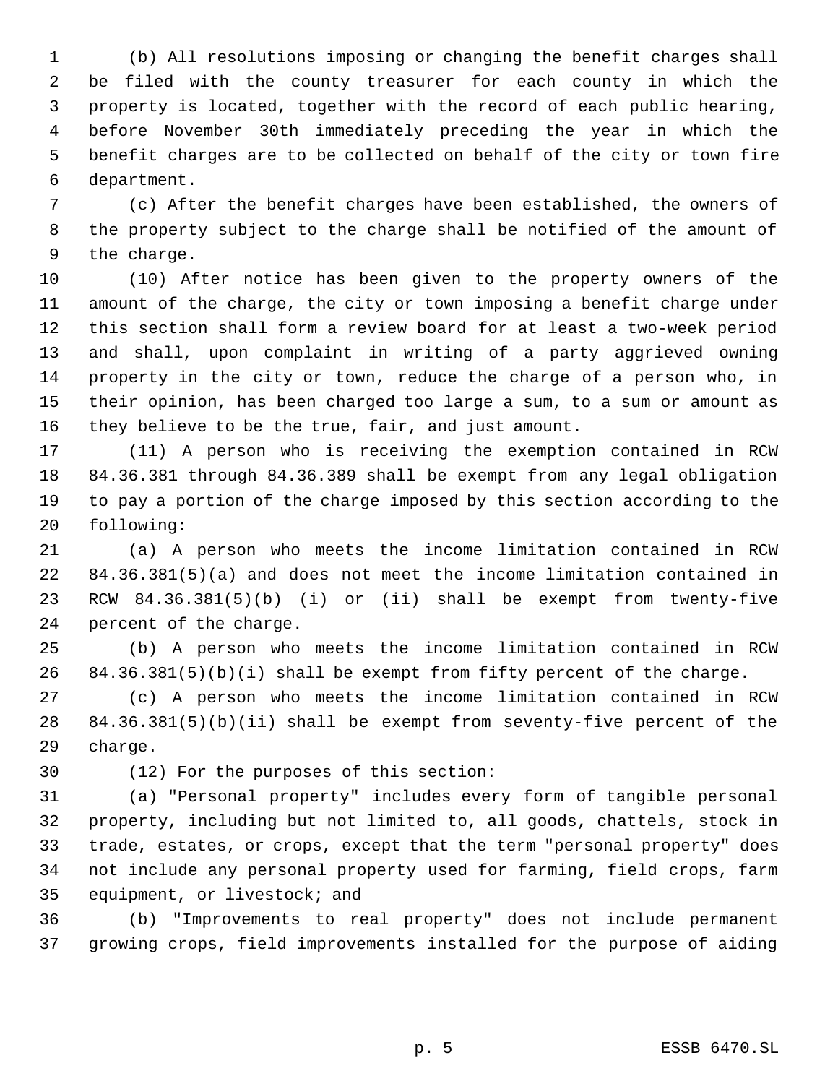(b) All resolutions imposing or changing the benefit charges shall be filed with the county treasurer for each county in which the property is located, together with the record of each public hearing, before November 30th immediately preceding the year in which the benefit charges are to be collected on behalf of the city or town fire department.

 (c) After the benefit charges have been established, the owners of the property subject to the charge shall be notified of the amount of the charge.

 (10) After notice has been given to the property owners of the amount of the charge, the city or town imposing a benefit charge under this section shall form a review board for at least a two-week period and shall, upon complaint in writing of a party aggrieved owning property in the city or town, reduce the charge of a person who, in their opinion, has been charged too large a sum, to a sum or amount as they believe to be the true, fair, and just amount.

 (11) A person who is receiving the exemption contained in RCW 84.36.381 through 84.36.389 shall be exempt from any legal obligation to pay a portion of the charge imposed by this section according to the following:

 (a) A person who meets the income limitation contained in RCW 84.36.381(5)(a) and does not meet the income limitation contained in RCW 84.36.381(5)(b) (i) or (ii) shall be exempt from twenty-five percent of the charge.

 (b) A person who meets the income limitation contained in RCW 84.36.381(5)(b)(i) shall be exempt from fifty percent of the charge.

 (c) A person who meets the income limitation contained in RCW 84.36.381(5)(b)(ii) shall be exempt from seventy-five percent of the charge.

(12) For the purposes of this section:

 (a) "Personal property" includes every form of tangible personal property, including but not limited to, all goods, chattels, stock in trade, estates, or crops, except that the term "personal property" does not include any personal property used for farming, field crops, farm equipment, or livestock; and

 (b) "Improvements to real property" does not include permanent growing crops, field improvements installed for the purpose of aiding